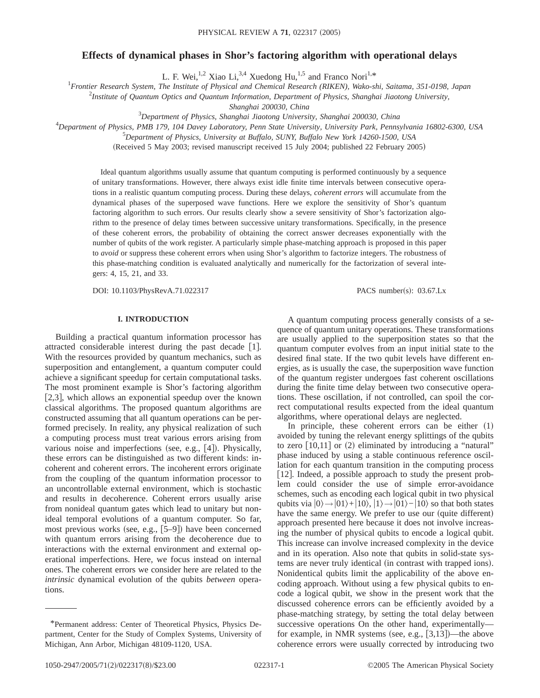# **Effects of dynamical phases in Shor's factoring algorithm with operational delays**

L. F. Wei,<sup>1,2</sup> Xiao Li,<sup>3,4</sup> Xuedong Hu,<sup>1,5</sup> and Franco Nori<sup>1,\*</sup>

*Frontier Research System, The Institute of Physical and Chemical Research (RIKEN), Wako-shi, Saitama, 351-0198, Japan*

2 *Institute of Quantum Optics and Quantum Information, Department of Physics, Shanghai Jiaotong University,*

*Shanghai 200030, China*

3 *Department of Physics, Shanghai Jiaotong University, Shanghai 200030, China*

4 *Department of Physics, PMB 179, 104 Davey Laboratory, Penn State University, University Park, Pennsylvania 16802-6300, USA*

5 *Department of Physics, University at Buffalo, SUNY, Buffalo New York 14260-1500, USA*

(Received 5 May 2003; revised manuscript received 15 July 2004; published 22 February 2005)

Ideal quantum algorithms usually assume that quantum computing is performed continuously by a sequence of unitary transformations. However, there always exist idle finite time intervals between consecutive operations in a realistic quantum computing process. During these delays, *coherent errors* will accumulate from the dynamical phases of the superposed wave functions. Here we explore the sensitivity of Shor's quantum factoring algorithm to such errors. Our results clearly show a severe sensitivity of Shor's factorization algorithm to the presence of delay times between successive unitary transformations. Specifically, in the presence of these coherent errors, the probability of obtaining the correct answer decreases exponentially with the number of qubits of the work register. A particularly simple phase-matching approach is proposed in this paper to *avoid* or suppress these coherent errors when using Shor's algorithm to factorize integers. The robustness of this phase-matching condition is evaluated analytically and numerically for the factorization of several integers: 4, 15, 21, and 33.

DOI: 10.1103/PhysRevA.71.022317 PACS number(s): 03.67.Lx

# **I. INTRODUCTION**

Building a practical quantum information processor has attracted considerable interest during the past decade  $\lceil 1 \rceil$ . With the resources provided by quantum mechanics, such as superposition and entanglement, a quantum computer could achieve a significant speedup for certain computational tasks. The most prominent example is Shor's factoring algorithm [2,3], which allows an exponential speedup over the known classical algorithms. The proposed quantum algorithms are constructed assuming that all quantum operations can be performed precisely. In reality, any physical realization of such a computing process must treat various errors arising from various noise and imperfections (see, e.g.,  $[4]$ ). Physically, these errors can be distinguished as two different kinds: incoherent and coherent errors. The incoherent errors originate from the coupling of the quantum information processor to an uncontrollable external environment, which is stochastic and results in decoherence. Coherent errors usually arise from nonideal quantum gates which lead to unitary but nonideal temporal evolutions of a quantum computer. So far, most previous works (see, e.g.,  $[5-9]$ ) have been concerned with quantum errors arising from the decoherence due to interactions with the external environment and external operational imperfections. Here, we focus instead on internal ones. The coherent errors we consider here are related to the *intrinsic* dynamical evolution of the qubits *between* operations.

A quantum computing process generally consists of a sequence of quantum unitary operations. These transformations are usually applied to the superposition states so that the quantum computer evolves from an input initial state to the desired final state. If the two qubit levels have different energies, as is usually the case, the superposition wave function of the quantum register undergoes fast coherent oscillations during the finite time delay between two consecutive operations. These oscillation, if not controlled, can spoil the correct computational results expected from the ideal quantum algorithms, where operational delays are neglected.

In principle, these coherent errors can be either  $(1)$ avoided by tuning the relevant energy splittings of the qubits to zero  $\lceil 10,11 \rceil$  or (2) eliminated by introducing a "natural" phase induced by using a stable continuous reference oscillation for each quantum transition in the computing process [12]. Indeed, a possible approach to study the present problem could consider the use of simple error-avoidance schemes, such as encoding each logical qubit in two physical qubits via  $|0\rangle \rightarrow |01\rangle + |10\rangle, |1\rangle \rightarrow |01\rangle - |10\rangle$  so that both states have the same energy. We prefer to use our (quite different) approach presented here because it does not involve increasing the number of physical qubits to encode a logical qubit. This increase can involve increased complexity in the device and in its operation. Also note that qubits in solid-state systems are never truly identical (in contrast with trapped ions). Nonidentical qubits limit the applicability of the above encoding approach. Without using a few physical qubits to encode a logical qubit, we show in the present work that the discussed coherence errors can be efficiently avoided by a phase-matching strategy, by setting the total delay between successive operations On the other hand, experimentally for example, in NMR systems (see, e.g.,  $[3,13]$ )—the above coherence errors were usually corrected by introducing two

<sup>\*</sup>Permanent address: Center of Theoretical Physics, Physics Department, Center for the Study of Complex Systems, University of Michigan, Ann Arbor, Michigan 48109-1120, USA.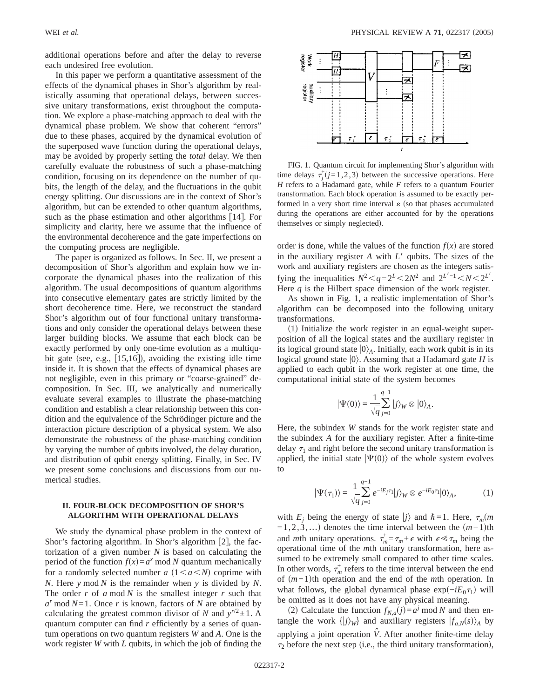additional operations before and after the delay to reverse each undesired free evolution.

In this paper we perform a quantitative assessment of the effects of the dynamical phases in Shor's algorithm by realistically assuming that operational delays, between successive unitary transformations, exist throughout the computation. We explore a phase-matching approach to deal with the dynamical phase problem. We show that coherent "errors" due to these phases, acquired by the dynamical evolution of the superposed wave function during the operational delays, may be avoided by properly setting the *total* delay. We then carefully evaluate the robustness of such a phase-matching condition, focusing on its dependence on the number of qubits, the length of the delay, and the fluctuations in the qubit energy splitting. Our discussions are in the context of Shor's algorithm, but can be extended to other quantum algorithms, such as the phase estimation and other algorithms [14]. For simplicity and clarity, here we assume that the influence of the environmental decoherence and the gate imperfections on the computing process are negligible.

The paper is organized as follows. In Sec. II, we present a decomposition of Shor's algorithm and explain how we incorporate the dynamical phases into the realization of this algorithm. The usual decompositions of quantum algorithms into consecutive elementary gates are strictly limited by the short decoherence time. Here, we reconstruct the standard Shor's algorithm out of four functional unitary transformations and only consider the operational delays between these larger building blocks. We assume that each block can be exactly performed by only one-time evolution as a multiqubit gate (see, e.g.,  $[15,16]$ ), avoiding the existing idle time inside it. It is shown that the effects of dynamical phases are not negligible, even in this primary or "coarse-grained" decomposition. In Sec. III, we analytically and numerically evaluate several examples to illustrate the phase-matching condition and establish a clear relationship between this condition and the equivalence of the Schrödinger picture and the interaction picture description of a physical system. We also demonstrate the robustness of the phase-matching condition by varying the number of qubits involved, the delay duration, and distribution of qubit energy splitting. Finally, in Sec. IV we present some conclusions and discussions from our numerical studies.

# **II. FOUR-BLOCK DECOMPOSITION OF SHOR'S ALGORITHM WITH OPERATIONAL DELAYS**

We study the dynamical phase problem in the context of Shor's factoring algorithm. In Shor's algorithm  $[2]$ , the factorization of a given number *N* is based on calculating the period of the function  $f(x) = a^x \text{ mod } N$  quantum mechanically for a randomly selected number  $a(1 \le a \le N)$  coprime with *N*. Here *y* mod *N* is the remainder when *y* is divided by *N*. The order *r* of *a* mod *N* is the smallest integer *r* such that  $a^r$  mod  $N=1$ . Once *r* is known, factors of *N* are obtained by calculating the greatest common divisor of *N* and  $y^{r/2} \pm 1$ . A quantum computer can find *r* efficiently by a series of quantum operations on two quantum registers *W* and *A*. One is the work register *W* with *L* qubits, in which the job of finding the



FIG. 1. Quantum circuit for implementing Shor's algorithm with time delays  $\tau_j^+(j=1,2,3)$  between the successive operations. Here *H* refers to a Hadamard gate, while *F* refers to a quantum Fourier transformation. Each block operation is assumed to be exactly performed in a very short time interval  $\varepsilon$  (so that phases accumulated during the operations are either accounted for by the operations themselves or simply neglected).

order is done, while the values of the function  $f(x)$  are stored in the auxiliary register  $A$  with  $L'$  qubits. The sizes of the work and auxiliary registers are chosen as the integers satisfying the inequalities  $N^2 < q = 2^L < 2N^2$  and  $2^{L'-1} < N < 2^{L'}$ . Here *q* is the Hilbert space dimension of the work register.

As shown in Fig. 1, a realistic implementation of Shor's algorithm can be decomposed into the following unitary transformations.

 $(1)$  Initialize the work register in an equal-weight superposition of all the logical states and the auxiliary register in its logical ground state  $|0\rangle_A$ . Initially, each work qubit is in its logical ground state  $|0\rangle$ . Assuming that a Hadamard gate *H* is applied to each qubit in the work register at one time, the computational initial state of the system becomes

$$
|\Psi(0)\rangle = \frac{1}{\sqrt{q}} \sum_{j=0}^{q-1} |j\rangle_W \otimes |0\rangle_A.
$$

Here, the subindex *W* stands for the work register state and the subindex *A* for the auxiliary register. After a finite-time delay  $\tau_1$  and right before the second unitary transformation is applied, the initial state  $|\Psi(0)\rangle$  of the whole system evolves to

$$
|\Psi(\tau_1)\rangle = \frac{1}{\sqrt{q}} \sum_{j=0}^{q-1} e^{-iE_j \tau_1} |j\rangle_W \otimes e^{-iE_0 \tau_1} |0\rangle_A, \tag{1}
$$

with  $E_i$  being the energy of state  $|j\rangle$  and  $\hbar = 1$ . Here,  $\tau_m(m)$ =1,2,3,…) denotes the time interval between the  $(m-1)$ th and *m*th unitary operations.  $\tau_m^+ = \tau_m + \epsilon$  with  $\epsilon \ll \tau_m$  being the operational time of the *m*th unitary transformation, here assumed to be extremely small compared to other time scales. In other words,  $\tau_m^+$  refers to the time interval between the end of  $(m−1)$ th operation and the end of the *m*th operation. In what follows, the global dynamical phase  $exp(-iE_0\tau_1)$  will be omitted as it does not have any physical meaning.

(2) Calculate the function  $f_{N,a}(j) = a^j \mod N$  and then entangle the work  $\{|j\rangle_W\}$  and auxiliary registers  $|f_{a,N}(s)\rangle_A$  by applying a joint operation *V ˆ*. After another finite-time delay  $\tau_2$  before the next step (i.e., the third unitary transformation),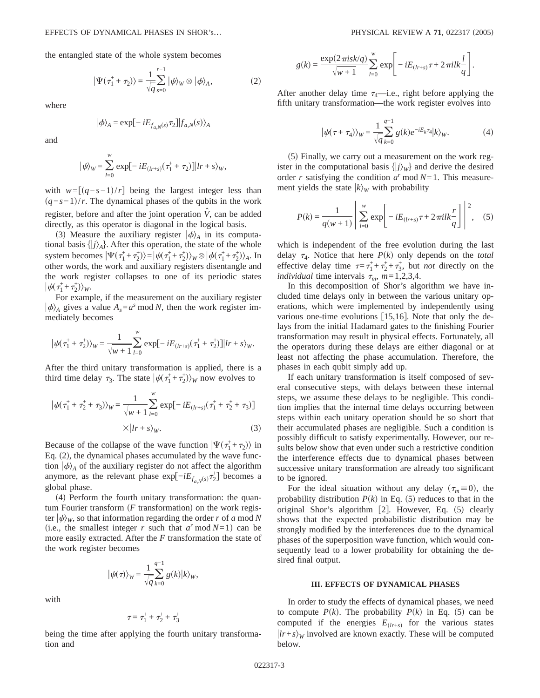the entangled state of the whole system becomes

$$
|\Psi(\tau_1^+ + \tau_2)\rangle = \frac{1}{\sqrt{q}} \sum_{s=0}^{r-1} |\psi\rangle_W \otimes |\phi\rangle_A, \tag{2}
$$

where

$$
|\phi\rangle_A = \exp[-iE_{f_{a,N}(s)}\tau_2]|f_{a,N}(s)\rangle_A
$$

and

$$
|\psi\rangle_W = \sum_{l=0}^w \exp[-iE_{(lr+s)}(\tau_1^+ + \tau_2)]|lr+s\rangle_W,
$$

with  $w=[(q-s-1)/r]$  being the largest integer less than  $(q-s-1)/r$ . The dynamical phases of the qubits in the work register, before and after the joint operation  $\hat{V}$ , can be added directly, as this operator is diagonal in the logical basis.

(3) Measure the auxiliary register  $|\phi\rangle$ <sub>A</sub> in its computational basis  $\{\ket{j}_A\}$ . After this operation, the state of the whole system becomes  $|\Psi(\tau_1^+ + \tau_2^+)\rangle = |\psi(\tau_1^+ + \tau_2^+)\rangle_W \otimes |\phi(\tau_1^+ + \tau_2^+)\rangle_A$ . In other words, the work and auxiliary registers disentangle and the work register collapses to one of its periodic states  $|\psi(\tau_1^+ + \tau_2^+)\rangle_W$ .

For example, if the measurement on the auxiliary register  $|\phi\rangle$ <sub>*A*</sub> gives a value  $A_s = a^s \mod N$ , then the work register immediately becomes

$$
|\psi(\tau_1^+ + \tau_2^+)\rangle_W = \frac{1}{\sqrt{W+1}} \sum_{l=0}^w \exp[-iE_{(lr+s)}(\tau_1^+ + \tau_2^+)]|lr+s\rangle_W.
$$

After the third unitary transformation is applied, there is a third time delay  $\tau_3$ . The state  $|\psi(\tau_1^+ + \tau_2^+)\rangle_W$  now evolves to

$$
|\psi(\tau_1^+ + \tau_2^+ + \tau_3)\rangle_W = \frac{1}{\sqrt{W+1}} \sum_{l=0}^w \exp[-iE_{(lr+s)}(\tau_1^+ + \tau_2^+ + \tau_3)]
$$
  
 
$$
\times |lr+s\rangle_W.
$$
 (3)

Because of the collapse of the wave function  $|\Psi(\tau_1^+ + \tau_2)\rangle$  in Eq.  $(2)$ , the dynamical phases accumulated by the wave function  $|\phi\rangle$ <sub>A</sub> of the auxiliary register do not affect the algorithm anymore, as the relevant phase  $\exp[-iE_{f_{a,N}(s)}\tau_2^+]$  becomes a global phase.

 $(4)$  Perform the fourth unitary transformation: the quantum Fourier transform  $(F$  transformation) on the work register  $|\psi\rangle_W$ , so that information regarding the order *r* of *a* mod *N* (i.e., the smallest integer *r* such that  $a^r \mod N = 1$ ) can be more easily extracted. After the *F* transformation the state of the work register becomes

$$
|\psi(\tau)\rangle_W = \frac{1}{\sqrt{q}} \sum_{k=0}^{q-1} g(k) |k\rangle_W,
$$

with

$$
\tau\!=\tau_1^{\!+}+\tau_2^{\!+}+\tau_3^{\!+}
$$

being the time after applying the fourth unitary transformation and

$$
g(k) = \frac{\exp(2\pi i sk/q)}{\sqrt{w+1}} \sum_{l=0}^{w} \exp\left[-iE_{(lr+s)}\tau + 2\pi ilk\frac{l}{q}\right].
$$

After another delay time  $\tau_4$ —i.e., right before applying the fifth unitary transformation—the work register evolves into

$$
|\psi(\tau + \tau_4)\rangle_W = \frac{1}{\sqrt{q}} \sum_{k=0}^{q-1} g(k) e^{-iE_k \tau_4} |k\rangle_W.
$$
 (4)

 $(5)$  Finally, we carry out a measurement on the work register in the computational basis  $\{|j\rangle_W\}$  and derive the desired order *r* satisfying the condition  $a^r \mod N = 1$ . This measurement yields the state  $|k\rangle_W$  with probability

$$
P(k) = \frac{1}{q(w+1)} \left[ \sum_{l=0}^{w} \exp \left[ -iE_{(lr+s)}\tau + 2\pi i lk \frac{r}{q} \right] \right]^{2}, \quad (5)
$$

which is independent of the free evolution during the last delay  $\tau_4$ . Notice that here  $P(k)$  only depends on the *total* effective delay time  $\tau = \tau_1^+ + \tau_2^+ + \tau_3^+$ , but *not* directly on the *individual* time intervals  $\tau_m$ ,  $m=1,2,3,4$ .

In this decomposition of Shor's algorithm we have included time delays only in between the various unitary operations, which were implemented by independently using various one-time evolutions  $[15,16]$ . Note that only the delays from the initial Hadamard gates to the finishing Fourier transformation may result in physical effects. Fortunately, all the operators during these delays are either diagonal or at least not affecting the phase accumulation. Therefore, the phases in each qubit simply add up.

If each unitary transformation is itself composed of several consecutive steps, with delays between these internal steps, we assume these delays to be negligible. This condition implies that the internal time delays occurring between steps within each unitary operation should be so short that their accumulated phases are negligible. Such a condition is possibly difficult to satisfy experimentally. However, our results below show that even under such a restrictive condition the interference effects due to dynamical phases between successive unitary transformation are already too significant to be ignored.

For the ideal situation without any delay  $(\tau_m \equiv 0)$ , the probability distribution  $P(k)$  in Eq. (5) reduces to that in the original Shor's algorithm  $[2]$ . However, Eq. (5) clearly shows that the expected probabilistic distribution may be strongly modified by the interferences due to the dynamical phases of the superposition wave function, which would consequently lead to a lower probability for obtaining the desired final output.

### **III. EFFECTS OF DYNAMICAL PHASES**

In order to study the effects of dynamical phases, we need to compute  $P(k)$ . The probability  $P(k)$  in Eq. (5) can be computed if the energies  $E_{(lr+s)}$  for the various states  $|lr+s\rangle$ <sub>*W*</sub> involved are known exactly. These will be computed below.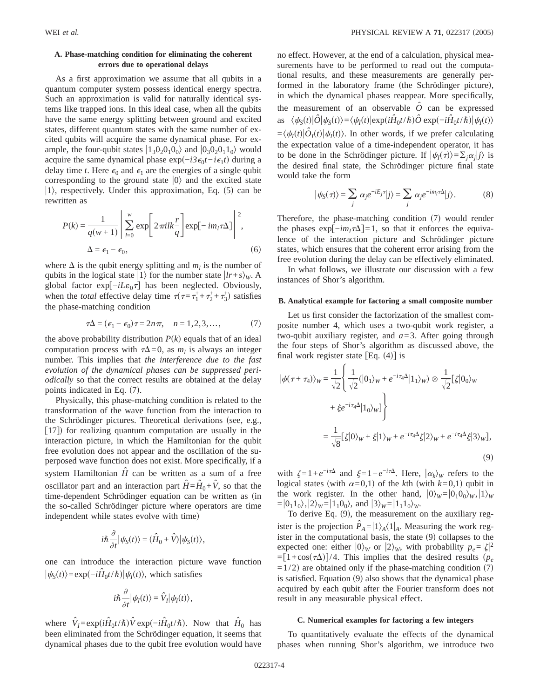# **A. Phase-matching condition for eliminating the coherent errors due to operational delays**

As a first approximation we assume that all qubits in a quantum computer system possess identical energy spectra. Such an approximation is valid for naturally identical systems like trapped ions. In this ideal case, when all the qubits have the same energy splitting between ground and excited states, different quantum states with the same number of excited qubits will acquire the same dynamical phase. For example, the four-qubit states  $|1_30_20_10_0\rangle$  and  $|0_30_20_11_0\rangle$  would acquire the same dynamical phase exp $(-i3\epsilon_0t - i\epsilon_1t)$  during a delay time *t*. Here  $\epsilon_0$  and  $\epsilon_1$  are the energies of a single qubit corresponding to the ground state  $|0\rangle$  and the excited state  $|1\rangle$ , respectively. Under this approximation, Eq. (5) can be rewritten as

$$
P(k) = \frac{1}{q(w+1)} \left| \sum_{l=0}^{w} \exp\left[ 2\pi i lk \frac{r}{q} \right] \exp[-im_l \tau \Delta] \right|^2,
$$
  

$$
\Delta = \epsilon_1 - \epsilon_0,
$$
 (6)

where  $\Delta$  is the qubit energy splitting and  $m_l$  is the number of qubits in the logical state  $|1\rangle$  for the number state  $|l r+s\rangle_W$ . A global factor exp[*−iLε*<sub>0</sub>τ] has been neglected. Obviously, when the *total* effective delay time  $\tau(\tau = \tau_1^+ + \tau_2^+ + \tau_3^+)$  satisfies the phase-matching condition

$$
\tau \Delta = (\epsilon_1 - \epsilon_0)\tau = 2n\pi, \quad n = 1, 2, 3, \dots,
$$
 (7)

the above probability distribution  $P(k)$  equals that of an ideal computation process with  $\tau\Delta=0$ , as  $m_l$  is always an integer number. This implies that *the interference due to the fast evolution of the dynamical phases can be suppressed periodically* so that the correct results are obtained at the delay points indicated in Eq.  $(7)$ .

Physically, this phase-matching condition is related to the transformation of the wave function from the interaction to the Schrödinger pictures. Theoretical derivations (see, e.g.,  $[17]$ ) for realizing quantum computation are usually in the interaction picture, in which the Hamiltonian for the qubit free evolution does not appear and the oscillation of the superposed wave function does not exist. More specifically, if a system Hamiltonian *H* can be written as a sum of a free oscillator part and an interaction part  $\hat{H} = \hat{H}_0 + \hat{V}$ , so that the time-dependent Schrödinger equation can be written as (in the so-called Schrödinger picture where operators are time independent while states evolve with time)

$$
i\hslash \frac{\partial}{\partial t} |\psi_S(t)\rangle = (\hat{H}_0 + \hat{V}) |\psi_S(t)\rangle,
$$

one can introduce the interaction picture wave function  $|\psi_{S}(t)\rangle$ =exp $(-i\hat{H}_0t/\hbar)|\psi_{I}(t)\rangle$ , which satisfies

$$
i\hbar\frac{\partial}{\partial t}|\psi_I(t)\rangle=\hat{V}_I|\psi_I(t)\rangle,
$$

where  $\hat{V}_I = \exp(i\hat{H}_0 t/\hbar)\hat{V} \exp(-i\hat{H}_0 t/\hbar)$ . Now that  $\hat{H}_0$  has been eliminated from the Schrödinger equation, it seems that dynamical phases due to the qubit free evolution would have no effect. However, at the end of a calculation, physical measurements have to be performed to read out the computational results, and these measurements are generally performed in the laboratory frame (the Schrödinger picture), in which the dynamical phases reappear. More specifically, the measurement of an observable  $\hat{O}$  can be expressed as  $\langle \psi_S(t) | \hat{O} | \psi_S(t) \rangle = \langle \psi_I(t) | \exp(i\hat{H}_0 t/\hbar) \hat{O} \exp(-i\hat{H}_0 t/\hbar) | \psi_I(t) \rangle$  $=\langle \psi_I(t) | \hat{O}_I(t) | \psi_I(t) \rangle$ . In other words, if we prefer calculating the expectation value of a time-independent operator, it has to be done in the Schrödinger picture. If  $|\psi_I(\tau)\rangle = \sum_i \alpha_i |j\rangle$  is the desired final state, the Schrödinger picture final state would take the form

$$
|\psi_{S}(\tau)\rangle = \sum_{j} \alpha_{j} e^{-iE_{j}\tau} |j\rangle = \sum_{j} \alpha_{j} e^{-im_{l}\tau \Delta} |j\rangle.
$$
 (8)

Therefore, the phase-matching condition  $(7)$  would render the phases exp[*-im<sub>l</sub>* T  $\Delta$ ] = 1, so that it enforces the equivalence of the interaction picture and Schrödinger picture states, which ensures that the coherent error arising from the free evolution during the delay can be effectively eliminated.

In what follows, we illustrate our discussion with a few instances of Shor's algorithm.

### **B. Analytical example for factoring a small composite number**

Let us first consider the factorization of the smallest composite number 4, which uses a two-qubit work register, a two-qubit auxiliary register, and  $a=3$ . After going through the four steps of Shor's algorithm as discussed above, the final work register state [Eq.  $(4)$ ] is

$$
|\psi(\tau + \tau_4)\rangle_W = \frac{1}{\sqrt{2}} \left\{ \frac{1}{\sqrt{2}} (|0_1\rangle_W + e^{-i\tau_4\Delta} |1_1\rangle_W) \otimes \frac{1}{\sqrt{2}} [\zeta | 0_0\rangle_W + \xi e^{-i\tau_4\Delta} |1_0\rangle_W] \right\} = \frac{1}{\sqrt{8}} [\zeta | 0\rangle_W + \xi |1\rangle_W + e^{-i\tau_4\Delta} \zeta | 2\rangle_W + e^{-i\tau_4\Delta} \xi | 3\rangle_W],
$$
(9)

with  $\zeta = 1 + e^{-i\tau\Delta}$  and  $\xi = 1 - e^{-i\tau\Delta}$ . Here,  $|\alpha_k\rangle_W$  refers to the logical states (with  $\alpha=0,1$ ) of the *k*th (with  $k=0,1$ ) qubit in the work register. In the other hand,  $|0\rangle_W = |0_1 0_0\rangle_W$ ,  $|1\rangle_W$  $=|0_11_0\rangle,|2\rangle_W=|1_10_0\rangle,$  and  $|3\rangle_W=|1_11_0\rangle_W.$ 

To derive Eq.  $(9)$ , the measurement on the auxiliary register is the projection  $\hat{P}_A = |1\rangle_A\langle 1|_A$ . Measuring the work register in the computational basis, the state  $(9)$  collapses to the expected one: either  $|0\rangle_W$  or  $|2\rangle_W$ , with probability  $p_e = |\zeta|^2$  $=[1+\cos(\tau\Delta)]/4$ . This implies that the desired results ( $p_e$ )  $=1/2$ ) are obtained only if the phase-matching condition (7) is satisfied. Equation  $(9)$  also shows that the dynamical phase acquired by each qubit after the Fourier transform does not result in any measurable physical effect.

### **C. Numerical examples for factoring a few integers**

To quantitatively evaluate the effects of the dynamical phases when running Shor's algorithm, we introduce two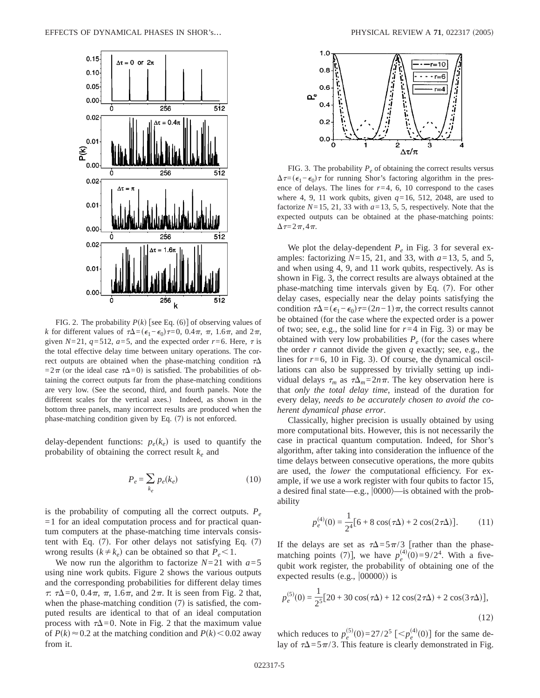

FIG. 2. The probability  $P(k)$  [see Eq. (6)] of observing values of *k* for different values of  $\tau\Delta = (\epsilon_1 - \epsilon_0)\tau = 0$ , 0.4 $\pi$ ,  $\pi$ , 1.6 $\pi$ , and 2 $\pi$ , given  $N=21$ ,  $q=512$ ,  $a=5$ , and the expected order  $r=6$ . Here,  $\tau$  is the total effective delay time between unitary operations. The correct outputs are obtained when the phase-matching condition  $\tau\Delta$ =2 $\pi$  (or the ideal case  $\tau\Delta=0$ ) is satisfied. The probabilities of obtaining the correct outputs far from the phase-matching conditions are very low. (See the second, third, and fourth panels. Note the different scales for the vertical axes.) Indeed, as shown in the bottom three panels, many incorrect results are produced when the phase-matching condition given by Eq.  $(7)$  is not enforced.

delay-dependent functions:  $p_e(k_e)$  is used to quantify the probability of obtaining the correct result  $k_e$  and

$$
P_e = \sum_{k_e} p_e(k_e) \tag{10}
$$

is the probability of computing all the correct outputs.  $P_e$ =1 for an ideal computation process and for practical quantum computers at the phase-matching time intervals consistent with Eq.  $(7)$ . For other delays not satisfying Eq.  $(7)$ wrong results  $(k \neq k_e)$  can be obtained so that  $P_e$ <1.

We now run the algorithm to factorize  $N=21$  with  $a=5$ using nine work qubits. Figure 2 shows the various outputs and the corresponding probabilities for different delay times  $\tau$ :  $\tau\Delta = 0$ ,  $0.4\pi$ ,  $\pi$ ,  $1.6\pi$ , and  $2\pi$ . It is seen from Fig. 2 that, when the phase-matching condition  $(7)$  is satisfied, the computed results are identical to that of an ideal computation process with  $\tau\Delta=0$ . Note in Fig. 2 that the maximum value of  $P(k) \approx 0.2$  at the matching condition and  $P(k) \le 0.02$  away from it.



FIG. 3. The probability  $P_e$  of obtaining the correct results versus  $\Delta \tau = (\epsilon_1 - \epsilon_0)\tau$  for running Shor's factoring algorithm in the presence of delays. The lines for  $r=4$ , 6, 10 correspond to the cases where 4, 9, 11 work qubits, given  $q=16$ , 512, 2048, are used to factorize  $N=15$ , 21, 33 with  $a=13$ , 5, 5, respectively. Note that the expected outputs can be obtained at the phase-matching points:  $\Delta \tau = 2\pi, 4\pi$ .

We plot the delay-dependent  $P_e$  in Fig. 3 for several examples: factorizing *N*=15, 21, and 33, with *a*=13, 5, and 5, and when using 4, 9, and 11 work qubits, respectively. As is shown in Fig. 3, the correct results are always obtained at the phase-matching time intervals given by Eq.  $(7)$ . For other delay cases, especially near the delay points satisfying the condition  $\tau\Delta=(\epsilon_1-\epsilon_0)\tau=(2n-1)\pi$ , the correct results cannot be obtained (for the case where the expected order is a power of two; see, e.g., the solid line for  $r=4$  in Fig. 3) or may be obtained with very low probabilities  $P_e$  (for the cases where the order *r* cannot divide the given *q* exactly; see, e.g., the lines for  $r=6$ , 10 in Fig. 3). Of course, the dynamical oscillations can also be suppressed by trivially setting up individual delays  $\tau_m$  as  $\tau_{m} = 2n\pi$ . The key observation here is that *only the total delay time*, instead of the duration for every delay, *needs to be accurately chosen to avoid the coherent dynamical phase error*.

Classically, higher precision is usually obtained by using more computational bits. However, this is not necessarily the case in practical quantum computation. Indeed, for Shor's algorithm, after taking into consideration the influence of the time delays between consecutive operations, the more qubits are used, the *lower* the computational efficiency. For example, if we use a work register with four qubits to factor 15, a desired final state—e.g.,  $|0000\rangle$ —is obtained with the probability

$$
p_e^{(4)}(0) = \frac{1}{2^4} [6 + 8 \cos(\tau \Delta) + 2 \cos(2\tau \Delta)].
$$
 (11)

If the delays are set as  $\tau\Delta=5\pi/3$  [rather than the phasematching points (7)], we have  $p_e^{(4)}(0)=9/2^4$ . With a fivequbit work register, the probability of obtaining one of the expected results (e.g.,  $|00000\rangle$ ) is

$$
p_e^{(5)}(0) = \frac{1}{2^5} [20 + 30 \cos(\tau \Delta) + 12 \cos(2\tau \Delta) + 2 \cos(3\tau \Delta)],
$$
\n(12)

which reduces to  $p_e^{(5)}(0) = 27/2^5 \left[ \leq p_e^{(4)}(0) \right]$  for the same delay of  $\tau\Delta=5\pi/3$ . This feature is clearly demonstrated in Fig.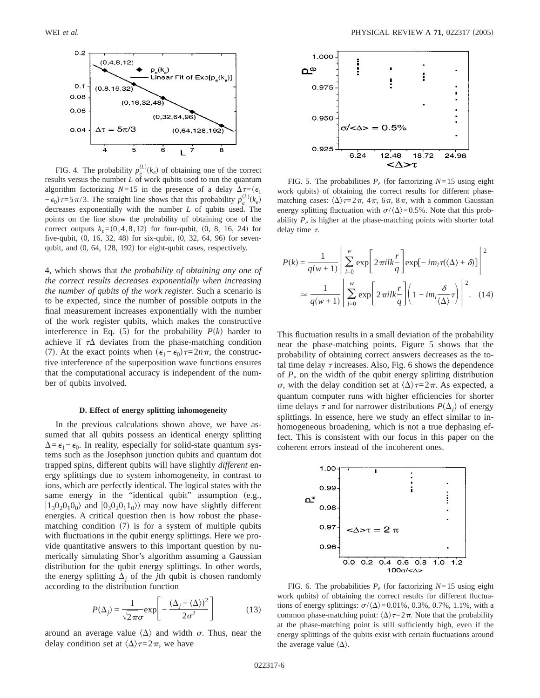

FIG. 4. The probability  $p_e^{(L)}(k_e)$  of obtaining one of the correct results versus the number *L* of work qubits used to run the quantum algorithm factorizing *N*=15 in the presence of a delay  $\Delta \tau = (\epsilon_1$  $-\epsilon_0$ ) $\tau$ =5 $\pi$ /3. The straight line shows that this probability  $p_e^{(L)}(k_e)$ decreases exponentially with the number *L* of qubits used. The points on the line show the probability of obtaining one of the correct outputs  $k_e = (0, 4, 8, 12)$  for four-qubit,  $(0, 8, 16, 24)$  for five-qubit,  $(0, 16, 32, 48)$  for six-qubit,  $(0, 32, 64, 96)$  for sevenqubit, and  $(0, 64, 128, 192)$  for eight-qubit cases, respectively.

4, which shows that *the probability of obtaining any one of the correct results decreases exponentially when increasing the number of qubits of the work register*. Such a scenario is to be expected, since the number of possible outputs in the final measurement increases exponentially with the number of the work register qubits, which makes the constructive interference in Eq. (5) for the probability  $P(k)$  harder to achieve if  $\tau\Delta$  deviates from the phase-matching condition (7). At the exact points when  $(\epsilon_1-\epsilon_0)\tau=2n\pi$ , the constructive interference of the superposition wave functions ensures that the computational accuracy is independent of the number of qubits involved.

### **D. Effect of energy splitting inhomogeneity**

In the previous calculations shown above, we have assumed that all qubits possess an identical energy splitting  $\Delta = \epsilon_1 - \epsilon_0$ . In reality, especially for solid-state quantum systems such as the Josephson junction qubits and quantum dot trapped spins, different qubits will have slightly *different* energy splittings due to system inhomogeneity, in contrast to ions, which are perfectly identical. The logical states with the same energy in the "identical qubit" assumption  $(e.g.,)$  $|1_30_20_10_0\rangle$  and  $|0_30_20_11_0\rangle$  may now have slightly different energies. A critical question then is how robust the phasematching condition  $(7)$  is for a system of multiple qubits with fluctuations in the qubit energy splittings. Here we provide quantitative answers to this important question by numerically simulating Shor's algorithm assuming a Gaussian distribution for the qubit energy splittings. In other words, the energy splitting  $\Delta_i$  of the *j*th qubit is chosen randomly according to the distribution function

$$
P(\Delta_j) = \frac{1}{\sqrt{2\pi}\sigma} \exp\left[-\frac{(\Delta_j - \langle \Delta \rangle)^2}{2\sigma^2}\right]
$$
 (13)

around an average value  $\langle \Delta \rangle$  and width  $\sigma$ . Thus, near the delay condition set at  $\langle \Delta \rangle \tau = 2\pi$ , we have



FIG. 5. The probabilities  $P_e$  (for factorizing  $N=15$  using eight work qubits) of obtaining the correct results for different phasematching cases:  $\langle \Delta \rangle \tau = 2\pi$ ,  $4\pi$ ,  $6\pi$ ,  $8\pi$ , with a common Gaussian energy splitting fluctuation with  $\sigma/\langle\Delta\rangle=0.5%$ . Note that this probability  $P_e$  is higher at the phase-matching points with shorter total delay time  $\tau$ .

$$
P(k) = \frac{1}{q(w+1)} \left| \sum_{l=0}^{w} \exp\left[2\pi ilk\frac{r}{q}\right] \exp\left[-im_l\pi(\langle\Delta\rangle + \delta)\right] \right|^2
$$
  

$$
\approx \frac{1}{q(w+1)} \left| \sum_{l=0}^{w} \exp\left[2\pi ilk\frac{r}{q}\right] \left(1 - im_l\frac{\delta}{\langle\Delta\rangle}\tau\right) \right|^2.
$$
 (14)

This fluctuation results in a small deviation of the probability near the phase-matching points. Figure 5 shows that the probability of obtaining correct answers decreases as the total time delay  $\tau$  increases. Also, Fig. 6 shows the dependence of *Pe* on the width of the qubit energy splitting distribution  $\sigma$ , with the delay condition set at  $\langle \Delta \rangle \tau = 2\pi$ . As expected, a quantum computer runs with higher efficiencies for shorter time delays  $\tau$  and for narrower distributions  $P(\Delta_i)$  of energy splittings. In essence, here we study an effect similar to inhomogeneous broadening, which is not a true dephasing effect. This is consistent with our focus in this paper on the coherent errors instead of the incoherent ones.



FIG. 6. The probabilities  $P_e$  (for factorizing  $N=15$  using eight work qubits) of obtaining the correct results for different fluctuations of energy splittings:  $\sigma/\langle\Delta\rangle$ =0.01%, 0.3%, 0.7%, 1.1%, with a common phase-matching point:  $\langle \Delta \rangle \tau = 2\pi$ . Note that the probability at the phase-matching point is still sufficiently high, even if the energy splittings of the qubits exist with certain fluctuations around the average value  $\langle \Delta \rangle$ .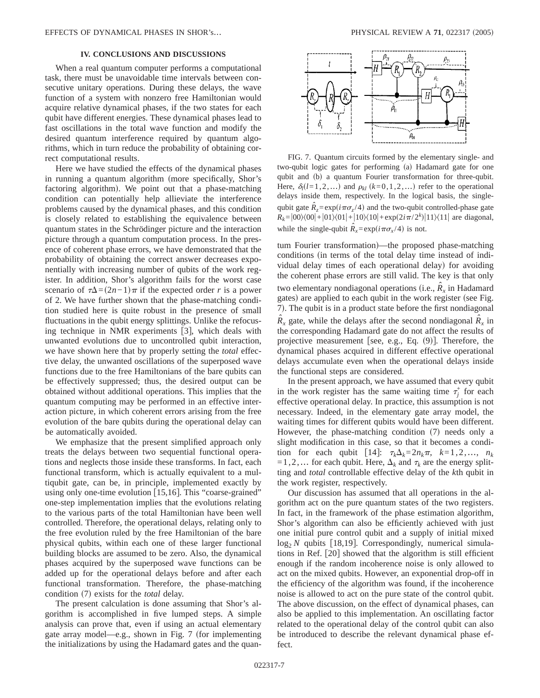### **IV. CONCLUSIONS AND DISCUSSIONS**

When a real quantum computer performs a computational task, there must be unavoidable time intervals between consecutive unitary operations. During these delays, the wave function of a system with nonzero free Hamiltonian would acquire relative dynamical phases, if the two states for each qubit have different energies. These dynamical phases lead to fast oscillations in the total wave function and modify the desired quantum interference required by quantum algorithms, which in turn reduce the probability of obtaining correct computational results.

Here we have studied the effects of the dynamical phases in running a quantum algorithm (more specifically, Shor's factoring algorithm). We point out that a phase-matching condition can potentially help allieviate the interference problems caused by the dynamical phases, and this condition is closely related to establishing the equivalence between quantum states in the Schrödinger picture and the interaction picture through a quantum computation process. In the presence of coherent phase errors, we have demonstrated that the probability of obtaining the correct answer decreases exponentially with increasing number of qubits of the work register. In addition, Shor's algorithm fails for the worst case scenario of  $\tau\Delta=(2n-1)\pi$  if the expected order *r* is a power of 2. We have further shown that the phase-matching condition studied here is quite robust in the presence of small fluctuations in the qubit energy splittings. Unlike the refocusing technique in NMR experiments  $[3]$ , which deals with unwanted evolutions due to uncontrolled qubit interaction, we have shown here that by properly setting the *total* effective delay, the unwanted oscillations of the superposed wave functions due to the free Hamiltonians of the bare qubits can be effectively suppressed; thus, the desired output can be obtained without additional operations. This implies that the quantum computing may be performed in an effective interaction picture, in which coherent errors arising from the free evolution of the bare qubits during the operational delay can be automatically avoided.

We emphasize that the present simplified approach only treats the delays between two sequential functional operations and neglects those inside these transforms. In fact, each functional transform, which is actually equivalent to a multiqubit gate, can be, in principle, implemented exactly by using only one-time evolution  $[15,16]$ . This "coarse-grained" one-step implementation implies that the evolutions relating to the various parts of the total Hamiltonian have been well controlled. Therefore, the operational delays, relating only to the free evolution ruled by the free Hamiltonian of the bare physical qubits, within each one of these larger functional building blocks are assumed to be zero. Also, the dynamical phases acquired by the superposed wave functions can be added up for the operational delays before and after each functional transformation. Therefore, the phase-matching condition (7) exists for the *total* delay.

The present calculation is done assuming that Shor's algorithm is accomplished in five lumped steps. A simple analysis can prove that, even if using an actual elementary gate array model—e.g., shown in Fig.  $7$  (for implementing the initializations by using the Hadamard gates and the quan-



FIG. 7. Quantum circuits formed by the elementary single- and two-qubit logic gates for performing (a) Hadamard gate for one qubit and (b) a quantum Fourier transformation for three-qubit. Here,  $\delta_l(l=1,2,...)$  and  $\rho_{kl}$  ( $k=0,1,2,...$ ) refer to the operational delays inside them, respectively. In the logical basis, the singlequbit gate  $\hat{R}_z = \exp(i\pi \sigma_z/4)$  and the two-qubit controlled-phase gate  $R_k = |00\rangle\langle00| + |01\rangle\langle01| + |10\rangle\langle10| + \exp(2i\pi/2^k)|11\rangle\langle11|$  are diagonal, while the single-qubit  $\hat{R}_x = \exp(i\pi\sigma_x/4)$  is not.

tum Fourier transformation)—the proposed phase-matching conditions (in terms of the total delay time instead of individual delay times of each operational delay) for avoiding the coherent phase errors are still valid. The key is that only two elementary nondiagonal operations (i.e.,  $\hat{R}_x$  in Hadamard gates) are applied to each qubit in the work register (see Fig. 7). The qubit is in a product state before the first nondiagonal  $\hat{R}_x$  gate, while the delays after the second nondiagonal  $\hat{R}_x$  in the corresponding Hadamard gate do not affect the results of projective measurement [see, e.g., Eq.  $(9)$ ]. Therefore, the dynamical phases acquired in different effective operational delays accumulate even when the operational delays inside the functional steps are considered.

In the present approach, we have assumed that every qubit in the work register has the same waiting time  $\tau_j^+$  for each effective operational delay. In practice, this assumption is not necessary. Indeed, in the elementary gate array model, the waiting times for different qubits would have been different. However, the phase-matching condition  $(7)$  needs only a slight modification in this case, so that it becomes a condition for each qubit [14]:  $\tau_k \Delta_k = 2n_k \pi$ ,  $k = 1, 2, ..., n_k$  $=1,2,...$  for each qubit. Here,  $\Delta_k$  and  $\tau_k$  are the energy splitting and *total* controllable effective delay of the *k*th qubit in the work register, respectively.

Our discussion has assumed that all operations in the algorithm act on the pure quantum states of the two registers. In fact, in the framework of the phase estimation algorithm, Shor's algorithm can also be efficiently achieved with just one initial pure control qubit and a supply of initial mixed  $log_2 N$  qubits [18,19]. Correspondingly, numerical simulations in Ref.  $[20]$  showed that the algorithm is still efficient enough if the random incoherence noise is only allowed to act on the mixed qubits. However, an exponential drop-off in the efficiency of the algorithm was found, if the incoherence noise is allowed to act on the pure state of the control qubit. The above discussion, on the effect of dynamical phases, can also be applied to this implementation. An oscillating factor related to the operational delay of the control qubit can also be introduced to describe the relevant dynamical phase effect.